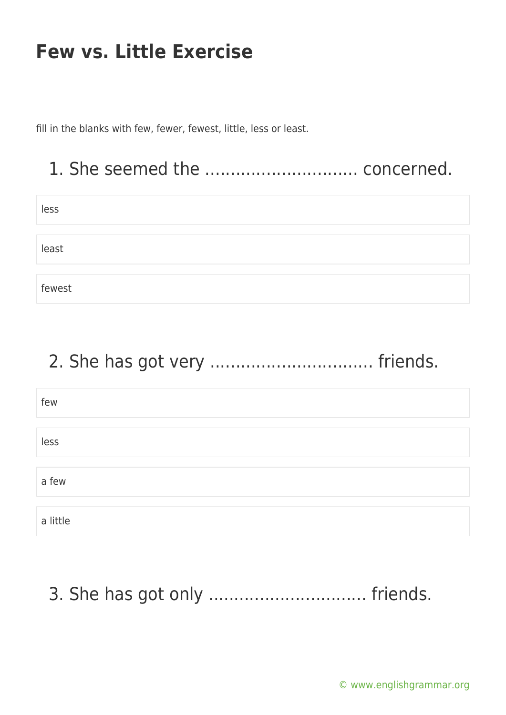fill in the blanks with few, fewer, fewest, little, less or least.

#### 1. She seemed the .............................. concerned.

| less   |  |
|--------|--|
|        |  |
|        |  |
| least  |  |
|        |  |
|        |  |
| fewest |  |

## 2. She has got very ................................ friends.

| few      |  |
|----------|--|
|          |  |
| less     |  |
|          |  |
| a few    |  |
|          |  |
| a little |  |

# 3. She has got only .................................. friends.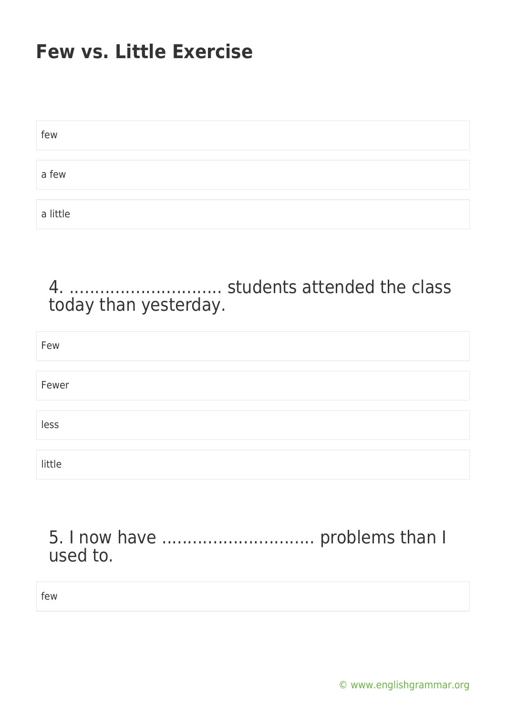| few      |  |  |
|----------|--|--|
|          |  |  |
| a few    |  |  |
|          |  |  |
| a little |  |  |

4. .............................. students attended the class today than yesterday.

| Few    |  |
|--------|--|
|        |  |
| Fewer  |  |
|        |  |
| less   |  |
|        |  |
| little |  |

5. I now have .............................. problems than I used to.

few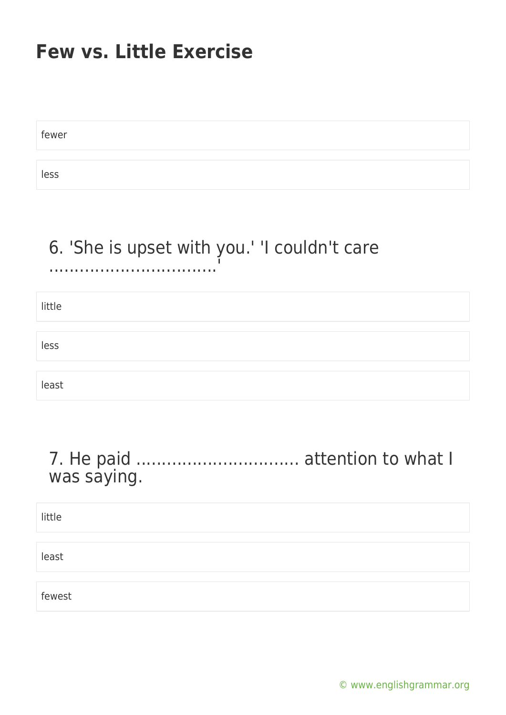fewer less

#### 6. 'She is upset with you.' 'I couldn't care .................................'

little less least

#### 7. He paid ................................ attention to what I was saying.

little least fewest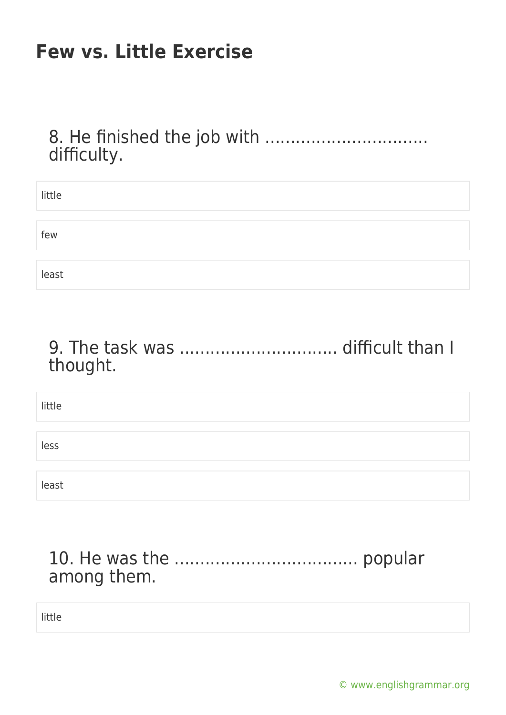8. He finished the job with .................................. difficulty.

| little |  |  |
|--------|--|--|
|        |  |  |
|        |  |  |
| few    |  |  |
|        |  |  |
|        |  |  |
| least  |  |  |

9. The task was ............................... difficult than I thought.

| little |  |  |
|--------|--|--|
|        |  |  |
| less   |  |  |
|        |  |  |
| least  |  |  |

#### 10. He was the .................................... popular among them.

little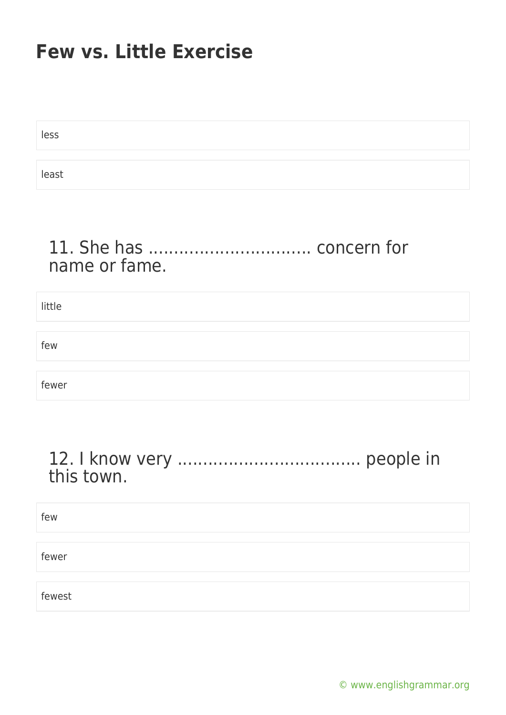| less  |  |  |
|-------|--|--|
|       |  |  |
| least |  |  |

#### 11. She has ................................ concern for name or fame.

| little |  |
|--------|--|
|        |  |
| few    |  |
|        |  |
| fewer  |  |

#### 12. I know very .................................... people in this town.

| few    |  |
|--------|--|
|        |  |
| fewer  |  |
|        |  |
| fewest |  |